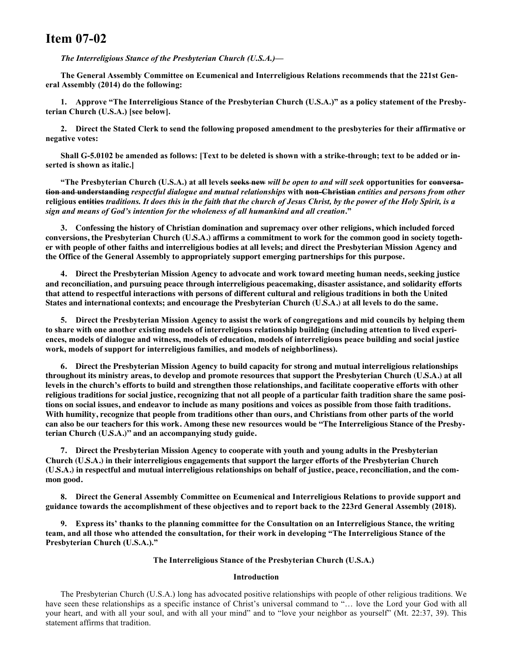# **Item 07-02**

*The Interreligious Stance of the Presbyterian Church (U.S.A.)—*

**The General Assembly Committee on Ecumenical and Interreligious Relations recommends that the 221st General Assembly (2014) do the following:**

**1. Approve "The Interreligious Stance of the Presbyterian Church (U.S.A.)" as a policy statement of the Presbyterian Church (U.S.A.) [see below].**

**2. Direct the Stated Clerk to send the following proposed amendment to the presbyteries for their affirmative or negative votes:**

**Shall G-5.0102 be amended as follows: [Text to be deleted is shown with a strike-through; text to be added or inserted is shown as italic.]**

**"The Presbyterian Church (U.S.A.) at all levels seeks new** *will be open to and will seek* **opportunities for conversation and understanding** *respectful dialogue and mutual relationships* **with non-Christian** *entities and persons from other* **religious entities** *traditions. It does this in the faith that the church of Jesus Christ, by the power of the Holy Spirit, is a sign and means of God's intention for the wholeness of all humankind and all creation***."**

**3. Confessing the history of Christian domination and supremacy over other religions, which included forced** conversions, the Presbyterian Church (U.S.A.) affirms a commitment to work for the common good in society together with people of other faiths and interreligious bodies at all levels; and direct the Presbyterian Mission Agency and **the Office of the General Assembly to appropriately support emerging partnerships for this purpose.**

**4. Direct the Presbyterian Mission Agency to advocate and work toward meeting human needs, seeking justice and reconciliation, and pursuing peace through interreligious peacemaking, disaster assistance, and solidarity efforts** that attend to respectful interactions with persons of different cultural and religious traditions in both the United States and international contexts; and encourage the Presbyterian Church (U.S.A.) at all levels to do the same.

**5. Direct the Presbyterian Mission Agency to assist the work of congregations and mid councils by helping them to share with one another existing models of interreligious relationship building (including attention to lived experiences, models of dialogue and witness, models of education, models of interreligious peace building and social justice work, models of support for interreligious families, and models of neighborliness).**

**6. Direct the Presbyterian Mission Agency to build capacity for strong and mutual interreligious relationships** throughout its ministry areas, to develop and promote resources that support the Presbyterian Church (U.S.A.) at all levels in the church's efforts to build and strengthen those relationships, and facilitate cooperative efforts with other religious traditions for social justice, recognizing that not all people of a particular faith tradition share the same positions on social issues, and endeavor to include as many positions and voices as possible from those faith traditions. With humility, recognize that people from traditions other than ours, and Christians from other parts of the world can also be our teachers for this work. Among these new resources would be "The Interreligious Stance of the Presby**terian Church (U.S.A.)" and an accompanying study guide.**

**7. Direct the Presbyterian Mission Agency to cooperate with youth and young adults in the Presbyterian Church (U.S.A.) in their interreligious engagements that support the larger efforts of the Presbyterian Church** (U.S.A.) in respectful and mutual interreligious relationships on behalf of justice, peace, reconciliation, and the com**mon good.**

**8. Direct the General Assembly Committee on Ecumenical and Interreligious Relations to provide support and guidance towards the accomplishment of these objectives and to report back to the 223rd General Assembly (2018).**

**9. Express its' thanks to the planning committee for the Consultation on an Interreligious Stance, the writing team, and all those who attended the consultation, for their work in developing "The Interreligious Stance of the Presbyterian Church (U.S.A.)."**

# **The Interreligious Stance of the Presbyterian Church (U.S.A.)**

#### **Introduction**

The Presbyterian Church (U.S.A.) long has advocated positive relationships with people of other religious traditions. We have seen these relationships as a specific instance of Christ's universal command to "... love the Lord your God with all your heart, and with all your soul, and with all your mind" and to "love your neighbor as yourself" (Mt. 22:37, 39). This statement affirms that tradition.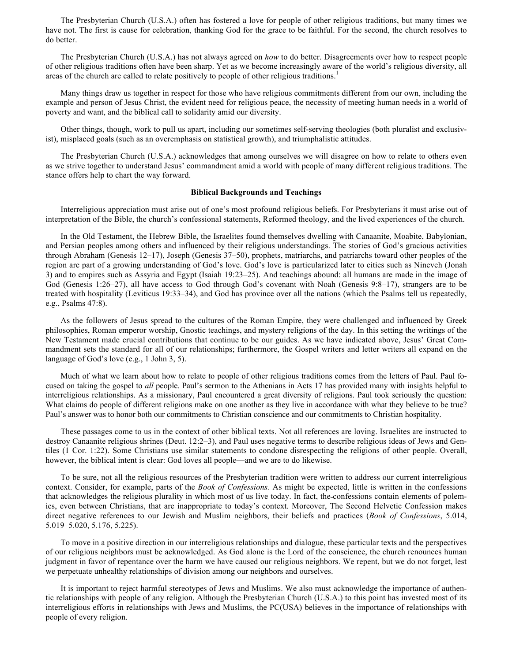The Presbyterian Church (U.S.A.) often has fostered a love for people of other religious traditions, but many times we have not. The first is cause for celebration, thanking God for the grace to be faithful. For the second, the church resolves to do better.

The Presbyterian Church (U.S.A.) has not always agreed on *how* to do better. Disagreements over how to respect people of other religious traditions often have been sharp. Yet as we become increasingly aware of the world's religious diversity, all areas of the church are called to relate positively to people of other religious traditions.<sup>1</sup>

Many things draw us together in respect for those who have religious commitments different from our own, including the example and person of Jesus Christ, the evident need for religious peace, the necessity of meeting human needs in a world of poverty and want, and the biblical call to solidarity amid our diversity.

Other things, though, work to pull us apart, including our sometimes self-serving theologies (both pluralist and exclusivist), misplaced goals (such as an overemphasis on statistical growth), and triumphalistic attitudes.

The Presbyterian Church (U.S.A.) acknowledges that among ourselves we will disagree on how to relate to others even as we strive together to understand Jesus' commandment amid a world with people of many different religious traditions. The stance offers help to chart the way forward.

#### **Biblical Backgrounds and Teachings**

Interreligious appreciation must arise out of one's most profound religious beliefs. For Presbyterians it must arise out of interpretation of the Bible, the church's confessional statements, Reformed theology, and the lived experiences of the church.

In the Old Testament, the Hebrew Bible, the Israelites found themselves dwelling with Canaanite, Moabite, Babylonian, and Persian peoples among others and influenced by their religious understandings. The stories of God's gracious activities through Abraham (Genesis 12–17), Joseph (Genesis 37–50), prophets, matriarchs, and patriarchs toward other peoples of the region are part of a growing understanding of God's love. God's love is particularized later to cities such as Nineveh (Jonah 3) and to empires such as Assyria and Egypt (Isaiah 19:23–25). And teachings abound: all humans are made in the image of God (Genesis 1:26–27), all have access to God through God's covenant with Noah (Genesis 9:8–17), strangers are to be treated with hospitality (Leviticus 19:33–34), and God has province over all the nations (which the Psalms tell us repeatedly, e.g., Psalms 47:8).

As the followers of Jesus spread to the cultures of the Roman Empire, they were challenged and influenced by Greek philosophies, Roman emperor worship, Gnostic teachings, and mystery religions of the day. In this setting the writings of the New Testament made crucial contributions that continue to be our guides. As we have indicated above, Jesus' Great Commandment sets the standard for all of our relationships; furthermore, the Gospel writers and letter writers all expand on the language of God's love (e.g., 1 John 3, 5).

Much of what we learn about how to relate to people of other religious traditions comes from the letters of Paul. Paul focused on taking the gospel to *all* people. Paul's sermon to the Athenians in Acts 17 has provided many with insights helpful to interreligious relationships. As a missionary, Paul encountered a great diversity of religions. Paul took seriously the question: What claims do people of different religions make on one another as they live in accordance with what they believe to be true? Paul's answer was to honor both our commitments to Christian conscience and our commitments to Christian hospitality.

These passages come to us in the context of other biblical texts. Not all references are loving. Israelites are instructed to destroy Canaanite religious shrines (Deut. 12:2–3), and Paul uses negative terms to describe religious ideas of Jews and Gentiles (1 Cor. 1:22). Some Christians use similar statements to condone disrespecting the religions of other people. Overall, however, the biblical intent is clear: God loves all people—and we are to do likewise.

To be sure, not all the religious resources of the Presbyterian tradition were written to address our current interreligious context. Consider, for example, parts of the *Book of Confessions.* As might be expected, little is written in the confessions that acknowledges the religious plurality in which most of us live today. In fact, the confessions contain elements of polemics, even between Christians, that are inappropriate to today's context. Moreover, The Second Helvetic Confession makes direct negative references to our Jewish and Muslim neighbors, their beliefs and practices (*Book of Confessions*, 5.014, 5.019–5.020, 5.176, 5.225).

To move in a positive direction in our interreligious relationships and dialogue, these particular texts and the perspectives of our religious neighbors must be acknowledged. As God alone is the Lord of the conscience, the church renounces human judgment in favor of repentance over the harm we have caused our religious neighbors. We repent, but we do not forget, lest we perpetuate unhealthy relationships of division among our neighbors and ourselves.

It is important to reject harmful stereotypes of Jews and Muslims. We also must acknowledge the importance of authentic relationships with people of any religion. Although the Presbyterian Church (U.S.A.) to this point has invested most of its interreligious efforts in relationships with Jews and Muslims, the PC(USA) believes in the importance of relationships with people of every religion.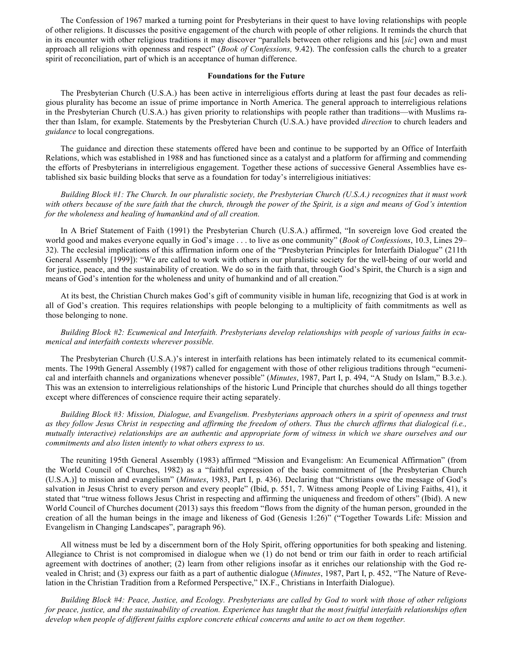The Confession of 1967 marked a turning point for Presbyterians in their quest to have loving relationships with people of other religions. It discusses the positive engagement of the church with people of other religions. It reminds the church that in its encounter with other religious traditions it may discover "parallels between other religions and his [*sic*] own and must approach all religions with openness and respect" (*Book of Confessions,* 9.42). The confession calls the church to a greater spirit of reconciliation, part of which is an acceptance of human difference.

#### **Foundations for the Future**

The Presbyterian Church (U.S.A.) has been active in interreligious efforts during at least the past four decades as religious plurality has become an issue of prime importance in North America. The general approach to interreligious relations in the Presbyterian Church (U.S.A.) has given priority to relationships with people rather than traditions—with Muslims rather than Islam, for example. Statements by the Presbyterian Church (U.S.A.) have provided *direction* to church leaders and *guidance* to local congregations.

The guidance and direction these statements offered have been and continue to be supported by an Office of Interfaith Relations, which was established in 1988 and has functioned since as a catalyst and a platform for affirming and commending the efforts of Presbyterians in interreligious engagement. Together these actions of successive General Assemblies have established six basic building blocks that serve as a foundation for today's interreligious initiatives:

*Building Block #1: The Church. In our pluralistic society, the Presbyterian Church (U.S.A.) recognizes that it must work with others because of the sure faith that the church, through the power of the Spirit, is a sign and means of God's intention for the wholeness and healing of humankind and of all creation.*

In A Brief Statement of Faith (1991) the Presbyterian Church (U.S.A.) affirmed, "In sovereign love God created the world good and makes everyone equally in God's image . . . to live as one community" (*Book of Confessions*, 10.3, Lines 29– 32). The ecclesial implications of this affirmation inform one of the "Presbyterian Principles for Interfaith Dialogue" (211th General Assembly [1999]): "We are called to work with others in our pluralistic society for the well-being of our world and for justice, peace, and the sustainability of creation. We do so in the faith that, through God's Spirit, the Church is a sign and means of God's intention for the wholeness and unity of humankind and of all creation."

At its best, the Christian Church makes God's gift of community visible in human life, recognizing that God is at work in all of God's creation. This requires relationships with people belonging to a multiplicity of faith commitments as well as those belonging to none.

*Building Block #2: Ecumenical and Interfaith. Presbyterians develop relationships with people of various faiths in ecumenical and interfaith contexts wherever possible.*

The Presbyterian Church (U.S.A.)'s interest in interfaith relations has been intimately related to its ecumenical commitments. The 199th General Assembly (1987) called for engagement with those of other religious traditions through "ecumenical and interfaith channels and organizations whenever possible" (*Minutes*, 1987, Part I, p. 494, "A Study on Islam," B.3.e.). This was an extension to interreligious relationships of the historic Lund Principle that churches should do all things together except where differences of conscience require their acting separately.

*Building Block #3: Mission, Dialogue, and Evangelism. Presbyterians approach others in a spirit of openness and trust as they follow Jesus Christ in respecting and affirming the freedom of others. Thus the church affirms that dialogical (i.e., mutually interactive) relationships are an authentic and appropriate form of witness in which we share ourselves and our commitments and also listen intently to what others express to us.*

The reuniting 195th General Assembly (1983) affirmed "Mission and Evangelism: An Ecumenical Affirmation" (from the World Council of Churches, 1982) as a "faithful expression of the basic commitment of [the Presbyterian Church (U.S.A.)] to mission and evangelism" (*Minutes*, 1983, Part I, p. 436). Declaring that "Christians owe the message of God's salvation in Jesus Christ to every person and every people" (Ibid, p. 551, 7. Witness among People of Living Faiths, 41), it stated that "true witness follows Jesus Christ in respecting and affirming the uniqueness and freedom of others" (Ibid). A new World Council of Churches document (2013) says this freedom "flows from the dignity of the human person, grounded in the creation of all the human beings in the image and likeness of God (Genesis 1:26)" ("Together Towards Life: Mission and Evangelism in Changing Landscapes", paragraph 96).

All witness must be led by a discernment born of the Holy Spirit, offering opportunities for both speaking and listening. Allegiance to Christ is not compromised in dialogue when we (1) do not bend or trim our faith in order to reach artificial agreement with doctrines of another; (2) learn from other religions insofar as it enriches our relationship with the God revealed in Christ; and (3) express our faith as a part of authentic dialogue (*Minutes*, 1987, Part I, p. 452, "The Nature of Revelation in the Christian Tradition from a Reformed Perspective," IX.F., Christians in Interfaith Dialogue).

*Building Block #4: Peace, Justice, and Ecology. Presbyterians are called by God to work with those of other religions for peace, justice, and the sustainability of creation. Experience has taught that the most fruitful interfaith relationships often develop when people of different faiths explore concrete ethical concerns and unite to act on them together.*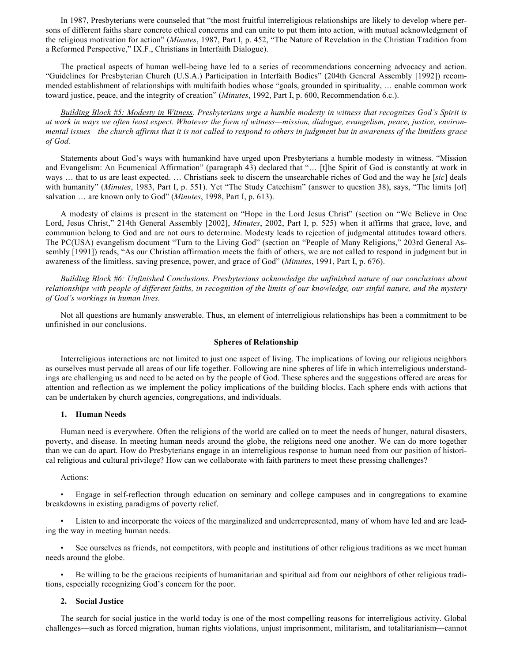In 1987, Presbyterians were counseled that "the most fruitful interreligious relationships are likely to develop where persons of different faiths share concrete ethical concerns and can unite to put them into action, with mutual acknowledgment of the religious motivation for action" (*Minutes*, 1987, Part I, p. 452, "The Nature of Revelation in the Christian Tradition from a Reformed Perspective," IX.F., Christians in Interfaith Dialogue).

The practical aspects of human well-being have led to a series of recommendations concerning advocacy and action. "Guidelines for Presbyterian Church (U.S.A.) Participation in Interfaith Bodies" (204th General Assembly [1992]) recommended establishment of relationships with multifaith bodies whose "goals, grounded in spirituality, … enable common work toward justice, peace, and the integrity of creation" (*Minutes*, 1992, Part I, p. 600, Recommendation 6.c.).

*Building Block #5: Modesty in Witness. Presbyterians urge a humble modesty in witness that recognizes God's Spirit is at work in ways we often least expect. Whatever the form of witness—mission, dialogue, evangelism, peace, justice, environmental issues—the church affirms that it is not called to respond to others in judgment but in awareness of the limitless grace of God.*

Statements about God's ways with humankind have urged upon Presbyterians a humble modesty in witness. "Mission and Evangelism: An Ecumenical Affirmation" (paragraph 43) declared that "… [t]he Spirit of God is constantly at work in ways … that to us are least expected. … Christians seek to discern the unsearchable riches of God and the way he [*sic*] deals with humanity" (*Minutes*, 1983, Part I, p. 551). Yet "The Study Catechism" (answer to question 38), says, "The limits [of] salvation … are known only to God" (*Minutes*, 1998, Part I, p. 613).

A modesty of claims is present in the statement on "Hope in the Lord Jesus Christ" (section on "We Believe in One Lord, Jesus Christ," 214th General Assembly [2002], *Minutes*, 2002, Part I, p. 525) when it affirms that grace, love, and communion belong to God and are not ours to determine. Modesty leads to rejection of judgmental attitudes toward others. The PC(USA) evangelism document "Turn to the Living God" (section on "People of Many Religions," 203rd General Assembly [1991]) reads, "As our Christian affirmation meets the faith of others, we are not called to respond in judgment but in awareness of the limitless, saving presence, power, and grace of God" (*Minutes*, 1991, Part I, p. 676).

*Building Block #6: Unfinished Conclusions. Presbyterians acknowledge the unfinished nature of our conclusions about relationships with people of different faiths, in recognition of the limits of our knowledge, our sinful nature, and the mystery of God's workings in human lives.*

Not all questions are humanly answerable. Thus, an element of interreligious relationships has been a commitment to be unfinished in our conclusions.

# **Spheres of Relationship**

Interreligious interactions are not limited to just one aspect of living. The implications of loving our religious neighbors as ourselves must pervade all areas of our life together. Following are nine spheres of life in which interreligious understandings are challenging us and need to be acted on by the people of God. These spheres and the suggestions offered are areas for attention and reflection as we implement the policy implications of the building blocks. Each sphere ends with actions that can be undertaken by church agencies, congregations, and individuals.

#### **1. Human Needs**

Human need is everywhere. Often the religions of the world are called on to meet the needs of hunger, natural disasters, poverty, and disease. In meeting human needs around the globe, the religions need one another. We can do more together than we can do apart. How do Presbyterians engage in an interreligious response to human need from our position of historical religious and cultural privilege? How can we collaborate with faith partners to meet these pressing challenges?

#### Actions:

• Engage in self-reflection through education on seminary and college campuses and in congregations to examine breakdowns in existing paradigms of poverty relief.

Listen to and incorporate the voices of the marginalized and underrepresented, many of whom have led and are leading the way in meeting human needs.

See ourselves as friends, not competitors, with people and institutions of other religious traditions as we meet human needs around the globe.

• Be willing to be the gracious recipients of humanitarian and spiritual aid from our neighbors of other religious traditions, especially recognizing God's concern for the poor.

# **2. Social Justice**

The search for social justice in the world today is one of the most compelling reasons for interreligious activity. Global challenges—such as forced migration, human rights violations, unjust imprisonment, militarism, and totalitarianism—cannot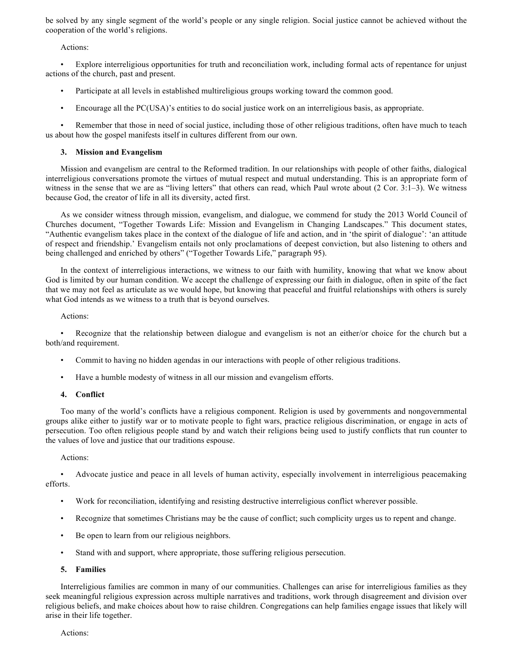be solved by any single segment of the world's people or any single religion. Social justice cannot be achieved without the cooperation of the world's religions.

Actions:

• Explore interreligious opportunities for truth and reconciliation work, including formal acts of repentance for unjust actions of the church, past and present.

- Participate at all levels in established multireligious groups working toward the common good.
- Encourage all the PC(USA)'s entities to do social justice work on an interreligious basis, as appropriate.

Remember that those in need of social justice, including those of other religious traditions, often have much to teach us about how the gospel manifests itself in cultures different from our own.

# **3. Mission and Evangelism**

Mission and evangelism are central to the Reformed tradition. In our relationships with people of other faiths, dialogical interreligious conversations promote the virtues of mutual respect and mutual understanding. This is an appropriate form of witness in the sense that we are as "living letters" that others can read, which Paul wrote about (2 Cor. 3:1–3). We witness because God, the creator of life in all its diversity, acted first.

As we consider witness through mission, evangelism, and dialogue, we commend for study the 2013 World Council of Churches document, "Together Towards Life: Mission and Evangelism in Changing Landscapes." This document states, "Authentic evangelism takes place in the context of the dialogue of life and action, and in 'the spirit of dialogue': 'an attitude of respect and friendship.' Evangelism entails not only proclamations of deepest conviction, but also listening to others and being challenged and enriched by others" ("Together Towards Life," paragraph 95).

In the context of interreligious interactions, we witness to our faith with humility, knowing that what we know about God is limited by our human condition. We accept the challenge of expressing our faith in dialogue, often in spite of the fact that we may not feel as articulate as we would hope, but knowing that peaceful and fruitful relationships with others is surely what God intends as we witness to a truth that is beyond ourselves.

# Actions:

• Recognize that the relationship between dialogue and evangelism is not an either/or choice for the church but a both/and requirement.

- Commit to having no hidden agendas in our interactions with people of other religious traditions.
- Have a humble modesty of witness in all our mission and evangelism efforts.

# **4. Conflict**

Too many of the world's conflicts have a religious component. Religion is used by governments and nongovernmental groups alike either to justify war or to motivate people to fight wars, practice religious discrimination, or engage in acts of persecution. Too often religious people stand by and watch their religions being used to justify conflicts that run counter to the values of love and justice that our traditions espouse.

# Actions:

• Advocate justice and peace in all levels of human activity, especially involvement in interreligious peacemaking efforts.

- Work for reconciliation, identifying and resisting destructive interreligious conflict wherever possible.
- Recognize that sometimes Christians may be the cause of conflict; such complicity urges us to repent and change.
- Be open to learn from our religious neighbors.
- Stand with and support, where appropriate, those suffering religious persecution.

# **5. Families**

Interreligious families are common in many of our communities. Challenges can arise for interreligious families as they seek meaningful religious expression across multiple narratives and traditions, work through disagreement and division over religious beliefs, and make choices about how to raise children. Congregations can help families engage issues that likely will arise in their life together.

Actions: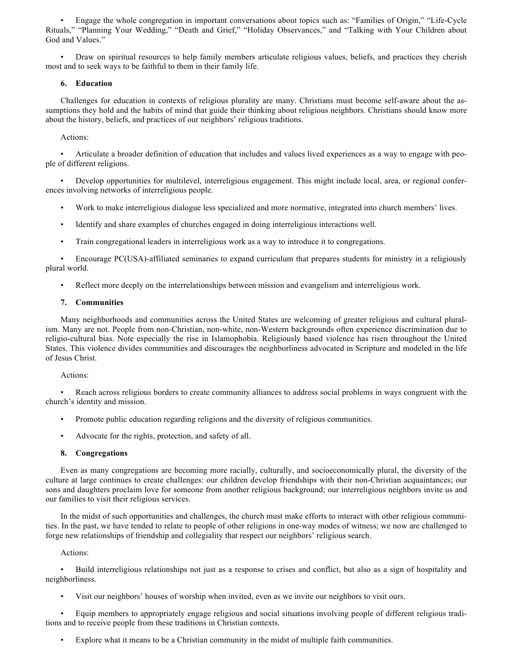• Engage the whole congregation in important conversations about topics such as: "Families of Origin," "Life-Cycle Rituals," "Planning Your Wedding," "Death and Grief," "Holiday Observances," and "Talking with Your Children about God and Values."

• Draw on spiritual resources to help family members articulate religious values, beliefs, and practices they cherish most and to seek ways to be faithful to them in their family life.

# **6. Education**

Challenges for education in contexts of religious plurality are many. Christians must become self-aware about the assumptions they hold and the habits of mind that guide their thinking about religious neighbors. Christians should know more about the history, beliefs, and practices of our neighbors' religious traditions.

Actions:

• Articulate a broader definition of education that includes and values lived experiences as a way to engage with people of different religions.

• Develop opportunities for multilevel, interreligious engagement. This might include local, area, or regional conferences involving networks of interreligious people.

- Work to make interreligious dialogue less specialized and more normative, integrated into church members' lives.
- Identify and share examples of churches engaged in doing interreligious interactions well.
- Train congregational leaders in interreligious work as a way to introduce it to congregations.

• Encourage PC(USA)-affiliated seminaries to expand curriculum that prepares students for ministry in a religiously plural world.

• Reflect more deeply on the interrelationships between mission and evangelism and interreligious work.

# **7. Communities**

Many neighborhoods and communities across the United States are welcoming of greater religious and cultural pluralism. Many are not. People from non-Christian, non-white, non-Western backgrounds often experience discrimination due to religio-cultural bias. Note especially the rise in Islamophobia. Religiously based violence has risen throughout the United States. This violence divides communities and discourages the neighborliness advocated in Scripture and modeled in the life of Jesus Christ.

Actions:

• Reach across religious borders to create community alliances to address social problems in ways congruent with the church's identity and mission.

- Promote public education regarding religions and the diversity of religious communities.
- Advocate for the rights, protection, and safety of all.

# **8. Congregations**

Even as many congregations are becoming more racially, culturally, and socioeconomically plural, the diversity of the culture at large continues to create challenges: our children develop friendships with their non-Christian acquaintances; our sons and daughters proclaim love for someone from another religious background; our interreligious neighbors invite us and our families to visit their religious services.

In the midst of such opportunities and challenges, the church must make efforts to interact with other religious communities. In the past, we have tended to relate to people of other religions in one-way modes of witness; we now are challenged to forge new relationships of friendship and collegiality that respect our neighbors' religious search.

# Actions:

• Build interreligious relationships not just as a response to crises and conflict, but also as a sign of hospitality and neighborliness.

• Visit our neighbors' houses of worship when invited, even as we invite our neighbors to visit ours.

• Equip members to appropriately engage religious and social situations involving people of different religious traditions and to receive people from these traditions in Christian contexts.

• Explore what it means to be a Christian community in the midst of multiple faith communities.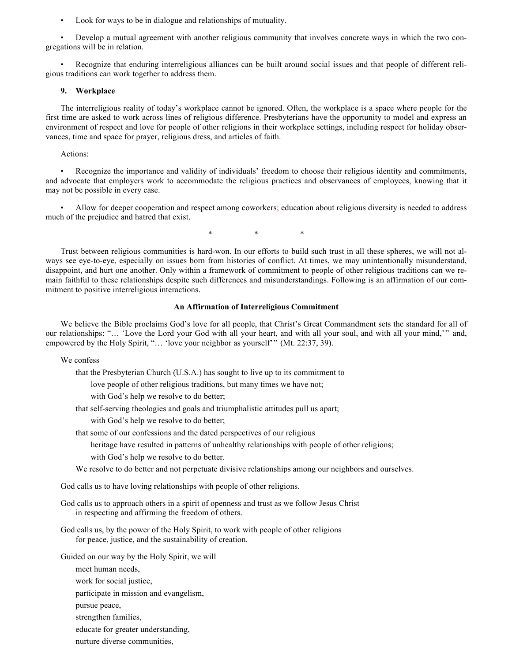• Look for ways to be in dialogue and relationships of mutuality.

• Develop a mutual agreement with another religious community that involves concrete ways in which the two congregations will be in relation.

• Recognize that enduring interreligious alliances can be built around social issues and that people of different religious traditions can work together to address them.

#### **9. Workplace**

The interreligious reality of today's workplace cannot be ignored. Often, the workplace is a space where people for the first time are asked to work across lines of religious difference. Presbyterians have the opportunity to model and express an environment of respect and love for people of other religions in their workplace settings, including respect for holiday observances, time and space for prayer, religious dress, and articles of faith.

Actions:

• Recognize the importance and validity of individuals' freedom to choose their religious identity and commitments, and advocate that employers work to accommodate the religious practices and observances of employees, knowing that it may not be possible in every case.

• Allow for deeper cooperation and respect among coworkers; education about religious diversity is needed to address much of the prejudice and hatred that exist.

\* \* \*

Trust between religious communities is hard-won. In our efforts to build such trust in all these spheres, we will not always see eye-to-eye, especially on issues born from histories of conflict. At times, we may unintentionally misunderstand, disappoint, and hurt one another. Only within a framework of commitment to people of other religious traditions can we remain faithful to these relationships despite such differences and misunderstandings. Following is an affirmation of our commitment to positive interreligious interactions.

#### **An Affirmation of Interreligious Commitment**

We believe the Bible proclaims God's love for all people, that Christ's Great Commandment sets the standard for all of our relationships: "… 'Love the Lord your God with all your heart, and with all your soul, and with all your mind,'" and, empowered by the Holy Spirit, "... 'love your neighbor as yourself'" (Mt. 22:37, 39).

We confess

that the Presbyterian Church (U.S.A.) has sought to live up to its commitment to

love people of other religious traditions, but many times we have not;

with God's help we resolve to do better;

that self-serving theologies and goals and triumphalistic attitudes pull us apart;

with God's help we resolve to do better;

that some of our confessions and the dated perspectives of our religious

- heritage have resulted in patterns of unhealthy relationships with people of other religions;
- with God's help we resolve to do better.

We resolve to do better and not perpetuate divisive relationships among our neighbors and ourselves.

God calls us to have loving relationships with people of other religions.

God calls us to approach others in a spirit of openness and trust as we follow Jesus Christ in respecting and affirming the freedom of others.

God calls us, by the power of the Holy Spirit, to work with people of other religions for peace, justice, and the sustainability of creation.

Guided on our way by the Holy Spirit, we will

meet human needs,

work for social justice,

participate in mission and evangelism,

pursue peace,

strengthen families,

educate for greater understanding,

nurture diverse communities,